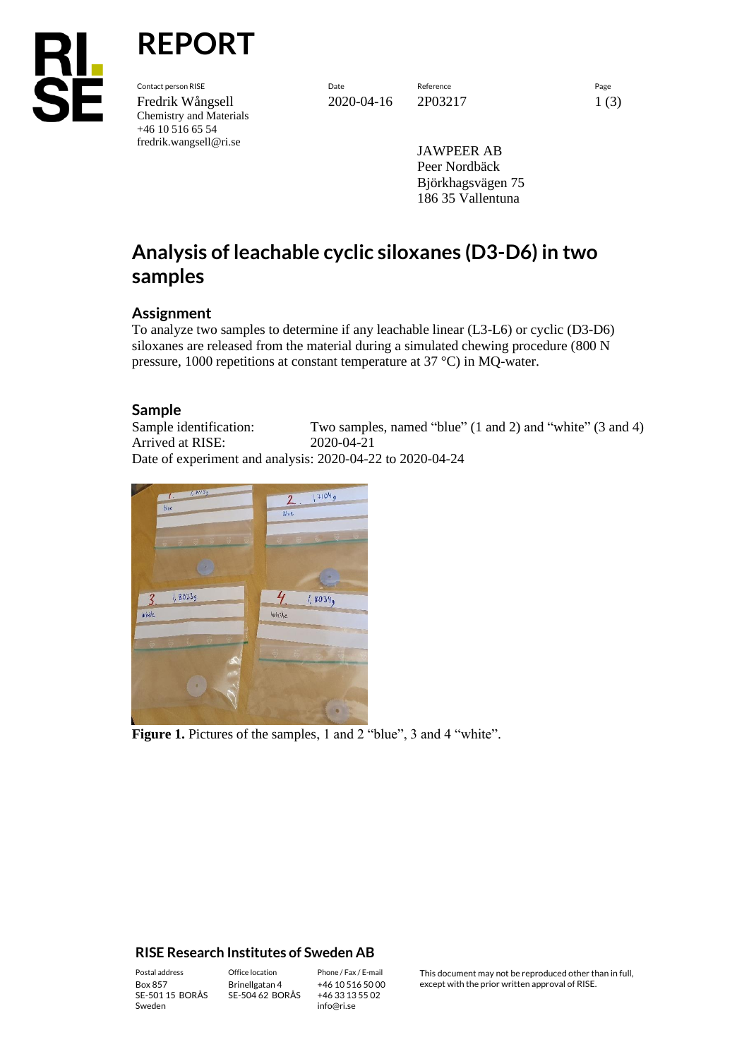

Contact person RISE Date Reference Page Fredrik Wångsell 2020-04-16 2P03217 1 (3) Chemistry and Materials +46 10 516 65 54 fredrik.wangsell@ri.se

**REPORT**

JAWPEER AB Peer Nordbäck Björkhagsvägen 75 186 35 Vallentuna

# **Analysis of leachable cyclic siloxanes (D3-D6) in two samples**

### **Assignment**

To analyze two samples to determine if any leachable linear (L3-L6) or cyclic (D3-D6) siloxanes are released from the material during a simulated chewing procedure (800 N pressure, 1000 repetitions at constant temperature at 37 °C) in MQ-water.

## **Sample**

Sample identification: Two samples, named "blue" (1 and 2) and "white" (3 and 4) Arrived at RISE: 2020-04-21 Date of experiment and analysis: 2020-04-22 to 2020-04-24



Figure 1. Pictures of the samples, 1 and 2 "blue", 3 and 4 "white".

#### **RISE Research Institutes of Sweden AB**

SE-501 15 BORÅS Sweden

Brinellgatan 4 SE-504 62 BORÅS

+46 10 516 50 00 +46 33 13 55 02 info@ri.se

Postal address Office location Phone / Fax / E-mail This document may not be reproduced other than in full,<br>
Phone / Fax / E-mail This document may not be reproduced other than in full,<br>
Box 857 except with the prior written approval of RISE.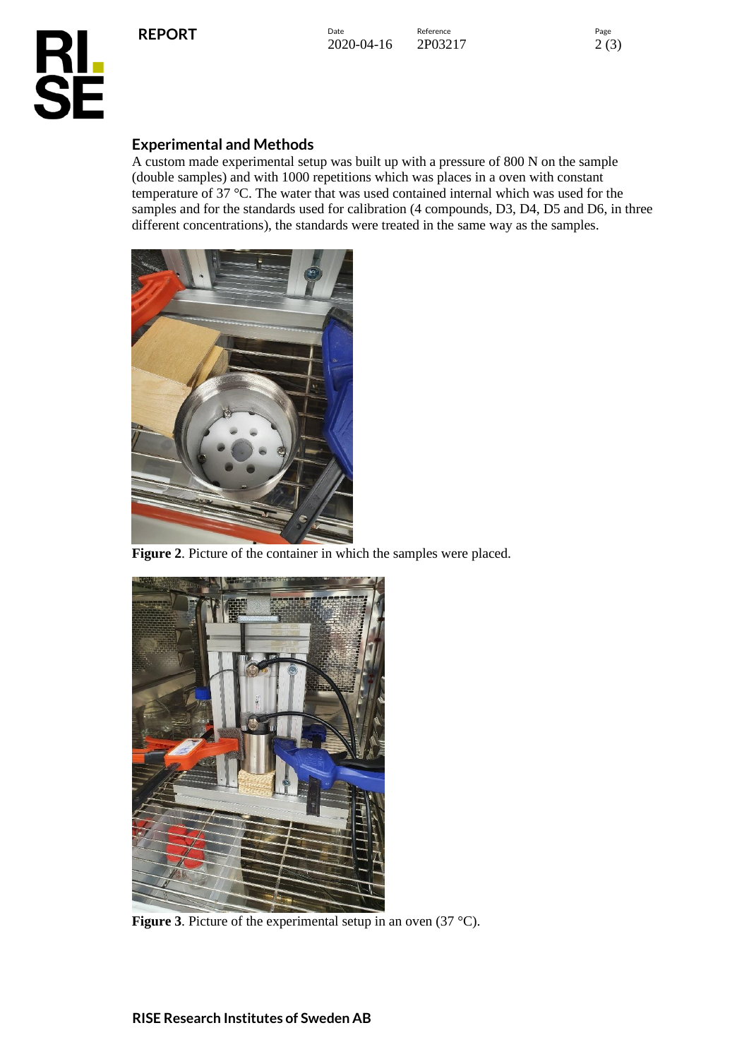**REPORT**

Date **Reference** Reference 2020-04-16 2P03217 2 (3)



## **Experimental and Methods**

A custom made experimental setup was built up with a pressure of 800 N on the sample (double samples) and with 1000 repetitions which was places in a oven with constant temperature of 37 °C. The water that was used contained internal which was used for the samples and for the standards used for calibration (4 compounds, D3, D4, D5 and D6, in three different concentrations), the standards were treated in the same way as the samples.



**Figure 2**. Picture of the container in which the samples were placed.



**Figure 3**. Picture of the experimental setup in an oven (37 °C).